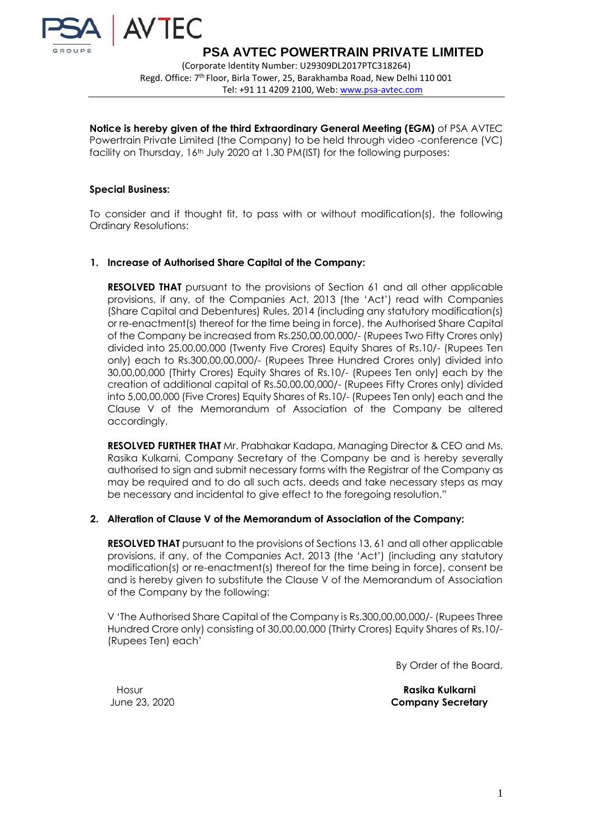

(Corporate Identity Number: U29309DL2017PTC318264) Regd. Office: 7<sup>th</sup> Floor, Birla Tower, 25, Barakhamba Road, New Delhi 110 001 Tel: +91 11 4209 2100, Web: [www.psa-avtec.com](http://www.psa-avtec.com/)

**Notice is hereby given of the third Extraordinary General Meeting (EGM)** of PSA AVTEC Powertrain Private Limited (the Company) to be held through video -conference (VC) facility on Thursday, 16<sup>th</sup> July 2020 at 1.30 PM(IST) for the following purposes:

### **Special Business:**

To consider and if thought fit, to pass with or without modification(s), the following Ordinary Resolutions:

#### **1. Increase of Authorised Share Capital of the Company:**

**RESOLVED THAT** pursuant to the provisions of Section 61 and all other applicable provisions, if any, of the Companies Act, 2013 (the 'Act') read with Companies (Share Capital and Debentures) Rules, 2014 (including any statutory modification(s) or re-enactment(s) thereof for the time being in force), the Authorised Share Capital of the Company be increased from Rs.250,00,00,000/- (Rupees Two Fifty Crores only) divided into 25,00,00,000 (Twenty Five Crores) Equity Shares of Rs.10/- (Rupees Ten only) each to Rs.300,00,00,000/- (Rupees Three Hundred Crores only) divided into 30,00,00,000 (Thirty Crores) Equity Shares of Rs.10/- (Rupees Ten only) each by the creation of additional capital of Rs.50,00,00,000/- (Rupees Fifty Crores only) divided into 5,00,00,000 (Five Crores) Equity Shares of Rs.10/- (Rupees Ten only) each and the Clause V of the Memorandum of Association of the Company be altered accordingly.

**RESOLVED FURTHER THAT** Mr. Prabhakar Kadapa, Managing Director & CEO and Ms. Rasika Kulkarni, Company Secretary of the Company be and is hereby severally authorised to sign and submit necessary forms with the Registrar of the Company as may be required and to do all such acts, deeds and take necessary steps as may be necessary and incidental to give effect to the foregoing resolution."

## **2. Alteration of Clause V of the Memorandum of Association of the Company:**

**RESOLVED THAT** pursuant to the provisions of Sections 13, 61 and all other applicable provisions, if any, of the Companies Act, 2013 (the 'Act') (including any statutory modification(s) or re-enactment(s) thereof for the time being in force), consent be and is hereby given to substitute the Clause V of the Memorandum of Association of the Company by the following:

V 'The Authorised Share Capital of the Company is Rs.300,00,00,000/- (Rupees Three Hundred Crore only) consisting of 30,00,00,000 (Thirty Crores) Equity Shares of Rs.10/- (Rupees Ten) each'

By Order of the Board,

Hosur **Rasika Kulkarni** June 23, 2020 **Company Secretary**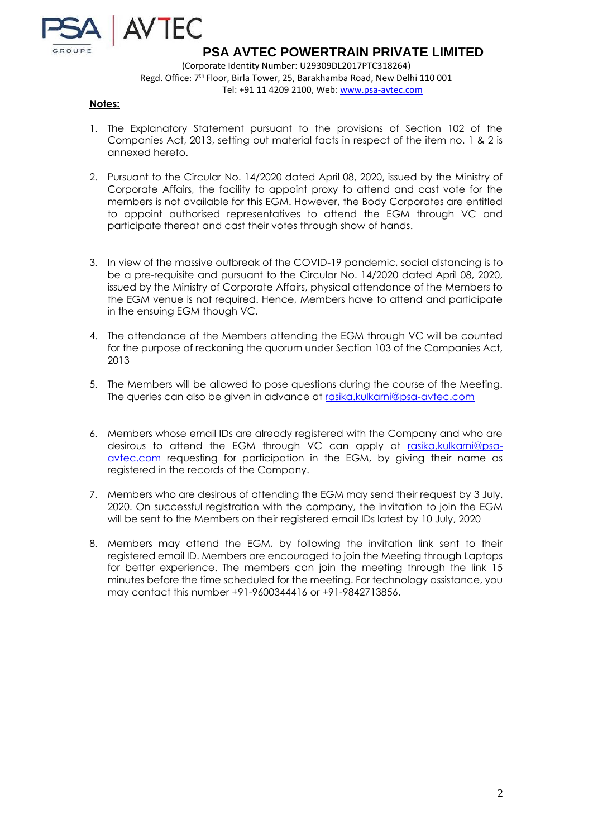

# **Notes:**

- 1. The Explanatory Statement pursuant to the provisions of Section 102 of the Companies Act, 2013, setting out material facts in respect of the item no. 1 & 2 is annexed hereto.
- 2. Pursuant to the Circular No. 14/2020 dated April 08, 2020, issued by the Ministry of Corporate Affairs, the facility to appoint proxy to attend and cast vote for the members is not available for this EGM. However, the Body Corporates are entitled to appoint authorised representatives to attend the EGM through VC and participate thereat and cast their votes through show of hands.
- 3. In view of the massive outbreak of the COVID-19 pandemic, social distancing is to be a pre-requisite and pursuant to the Circular No. 14/2020 dated April 08, 2020, issued by the Ministry of Corporate Affairs, physical attendance of the Members to the EGM venue is not required. Hence, Members have to attend and participate in the ensuing EGM though VC.
- 4. The attendance of the Members attending the EGM through VC will be counted for the purpose of reckoning the quorum under Section 103 of the Companies Act, 2013
- 5. The Members will be allowed to pose questions during the course of the Meeting. The queries can also be given in advance at [rasika.kulkarni@psa-avtec.com](mailto:rasika.kulkarni@psa-avtec.com)
- 6. Members whose email IDs are already registered with the Company and who are desirous to attend the EGM through VC can apply at [rasika.kulkarni@psa](mailto:rasika.kulkarni@psa-avtec.com)[avtec.com](mailto:rasika.kulkarni@psa-avtec.com) requesting for participation in the EGM, by giving their name as registered in the records of the Company.
- 7. Members who are desirous of attending the EGM may send their request by 3 July, 2020. On successful registration with the company, the invitation to join the EGM will be sent to the Members on their registered email IDs latest by 10 July, 2020
- 8. Members may attend the EGM, by following the invitation link sent to their registered email ID. Members are encouraged to join the Meeting through Laptops for better experience. The members can join the meeting through the link 15 minutes before the time scheduled for the meeting. For technology assistance, you may contact this number +91-9600344416 or +91-9842713856.